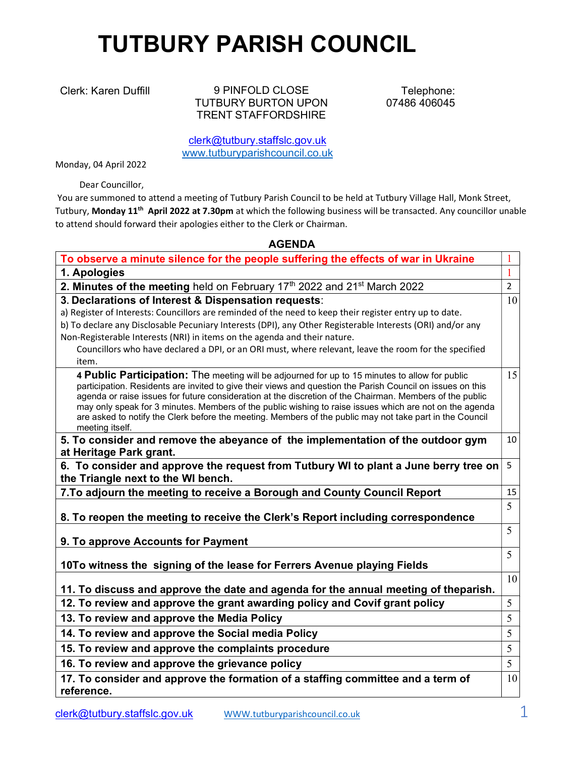## TUTBURY PARISH COUNCIL

Clerk: Karen Duffill 9 PINFOLD CLOSE TUTBURY BURTON UPON TRENT STAFFORDSHIRE

Telephone: 07486 406045

clerk@tutbury.staffslc.gov.uk www.tutburyparishcouncil.co.uk

Monday, 04 April 2022

Dear Councillor,

 You are summoned to attend a meeting of Tutbury Parish Council to be held at Tutbury Village Hall, Monk Street, Tutbury, Monday 11<sup>th</sup> April 2022 at 7.30pm at which the following business will be transacted. Any councillor unable to attend should forward their apologies either to the Clerk or Chairman.

## AGENDA

| To observe a minute silence for the people suffering the effects of war in Ukraine                                                                                                                                                                                                                                                                                                                                                                                                                                                                                 | 1              |
|--------------------------------------------------------------------------------------------------------------------------------------------------------------------------------------------------------------------------------------------------------------------------------------------------------------------------------------------------------------------------------------------------------------------------------------------------------------------------------------------------------------------------------------------------------------------|----------------|
| 1. Apologies                                                                                                                                                                                                                                                                                                                                                                                                                                                                                                                                                       | $\mathbf{1}$   |
| 2. Minutes of the meeting held on February 17th 2022 and 21 <sup>st</sup> March 2022                                                                                                                                                                                                                                                                                                                                                                                                                                                                               | $\overline{2}$ |
| 3. Declarations of Interest & Dispensation requests:                                                                                                                                                                                                                                                                                                                                                                                                                                                                                                               | 10             |
| a) Register of Interests: Councillors are reminded of the need to keep their register entry up to date.                                                                                                                                                                                                                                                                                                                                                                                                                                                            |                |
| b) To declare any Disclosable Pecuniary Interests (DPI), any Other Registerable Interests (ORI) and/or any                                                                                                                                                                                                                                                                                                                                                                                                                                                         |                |
| Non-Registerable Interests (NRI) in items on the agenda and their nature.                                                                                                                                                                                                                                                                                                                                                                                                                                                                                          |                |
| Councillors who have declared a DPI, or an ORI must, where relevant, leave the room for the specified                                                                                                                                                                                                                                                                                                                                                                                                                                                              |                |
| item.                                                                                                                                                                                                                                                                                                                                                                                                                                                                                                                                                              |                |
| 4 Public Participation: The meeting will be adjourned for up to 15 minutes to allow for public<br>participation. Residents are invited to give their views and question the Parish Council on issues on this<br>agenda or raise issues for future consideration at the discretion of the Chairman. Members of the public<br>may only speak for 3 minutes. Members of the public wishing to raise issues which are not on the agenda<br>are asked to notify the Clerk before the meeting. Members of the public may not take part in the Council<br>meeting itself. | 15             |
| 5. To consider and remove the abeyance of the implementation of the outdoor gym<br>at Heritage Park grant.                                                                                                                                                                                                                                                                                                                                                                                                                                                         | 10             |
| 6. To consider and approve the request from Tutbury WI to plant a June berry tree on<br>the Triangle next to the WI bench.                                                                                                                                                                                                                                                                                                                                                                                                                                         | 5              |
| 7. To adjourn the meeting to receive a Borough and County Council Report                                                                                                                                                                                                                                                                                                                                                                                                                                                                                           | 15             |
| 8. To reopen the meeting to receive the Clerk's Report including correspondence                                                                                                                                                                                                                                                                                                                                                                                                                                                                                    | 5              |
| 9. To approve Accounts for Payment                                                                                                                                                                                                                                                                                                                                                                                                                                                                                                                                 | 5              |
| 10To witness the signing of the lease for Ferrers Avenue playing Fields                                                                                                                                                                                                                                                                                                                                                                                                                                                                                            | 5              |
| 11. To discuss and approve the date and agenda for the annual meeting of theparish.                                                                                                                                                                                                                                                                                                                                                                                                                                                                                | 10             |
| 12. To review and approve the grant awarding policy and Covif grant policy                                                                                                                                                                                                                                                                                                                                                                                                                                                                                         | 5              |
| 13. To review and approve the Media Policy                                                                                                                                                                                                                                                                                                                                                                                                                                                                                                                         | 5              |
| 14. To review and approve the Social media Policy                                                                                                                                                                                                                                                                                                                                                                                                                                                                                                                  | 5              |
| 15. To review and approve the complaints procedure                                                                                                                                                                                                                                                                                                                                                                                                                                                                                                                 | 5              |
| 16. To review and approve the grievance policy                                                                                                                                                                                                                                                                                                                                                                                                                                                                                                                     | 5              |
| 17. To consider and approve the formation of a staffing committee and a term of                                                                                                                                                                                                                                                                                                                                                                                                                                                                                    | 10             |
| reference.                                                                                                                                                                                                                                                                                                                                                                                                                                                                                                                                                         |                |